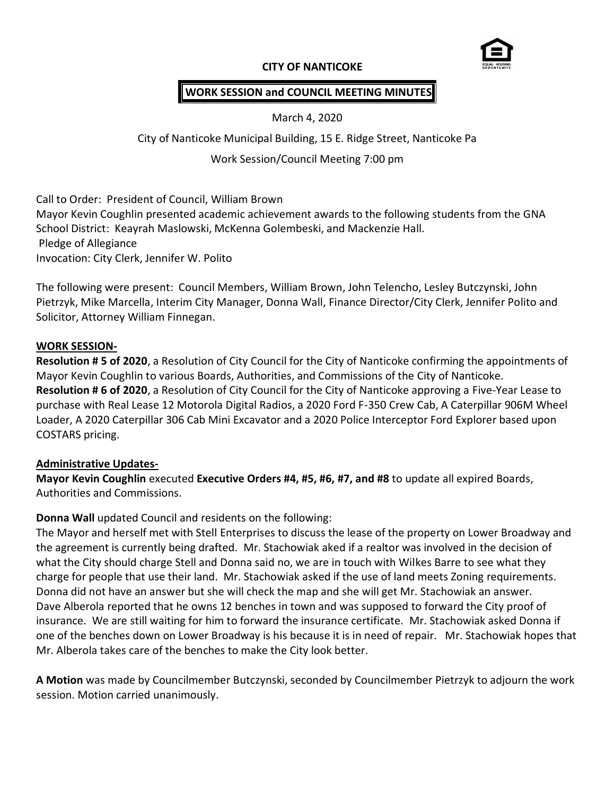## **CITY OF NANTICOKE**



# **WORK SESSION and COUNCIL MEETING MINUTES**

March 4, 2020

City of Nanticoke Municipal Building, 15 E. Ridge Street, Nanticoke Pa

Work Session/Council Meeting 7:00 pm

Call to Order: President of Council, William Brown Mayor Kevin Coughlin presented academic achievement awards to the following students from the GNA School District: Keayrah Maslowski, McKenna Golembeski, and Mackenzie Hall. Pledge of Allegiance Invocation: City Clerk, Jennifer W. Polito

The following were present: Council Members, William Brown, John Telencho, Lesley Butczynski, John Pietrzyk, Mike Marcella, Interim City Manager, Donna Wall, Finance Director/City Clerk, Jennifer Polito and Solicitor, Attorney William Finnegan.

#### **WORK SESSION-**

**Resolution # 5 of 2020**, a Resolution of City Council for the City of Nanticoke confirming the appointments of Mayor Kevin Coughlin to various Boards, Authorities, and Commissions of the City of Nanticoke. **Resolution # 6 of 2020**, a Resolution of City Council for the City of Nanticoke approving a Five-Year Lease to purchase with Real Lease 12 Motorola Digital Radios, a 2020 Ford F-350 Crew Cab, A Caterpillar 906M Wheel Loader, A 2020 Caterpillar 306 Cab Mini Excavator and a 2020 Police Interceptor Ford Explorer based upon COSTARS pricing.

#### **Administrative Updates-**

**Mayor Kevin Coughlin** executed **Executive Orders #4, #5, #6, #7, and #8** to update all expired Boards, Authorities and Commissions.

# **Donna Wall** updated Council and residents on the following:

The Mayor and herself met with Stell Enterprises to discuss the lease of the property on Lower Broadway and the agreement is currently being drafted. Mr. Stachowiak aked if a realtor was involved in the decision of what the City should charge Stell and Donna said no, we are in touch with Wilkes Barre to see what they charge for people that use their land. Mr. Stachowiak asked if the use of land meets Zoning requirements. Donna did not have an answer but she will check the map and she will get Mr. Stachowiak an answer. Dave Alberola reported that he owns 12 benches in town and was supposed to forward the City proof of insurance. We are still waiting for him to forward the insurance certificate. Mr. Stachowiak asked Donna if one of the benches down on Lower Broadway is his because it is in need of repair. Mr. Stachowiak hopes that Mr. Alberola takes care of the benches to make the City look better.

**A Motion** was made by Councilmember Butczynski, seconded by Councilmember Pietrzyk to adjourn the work session. Motion carried unanimously.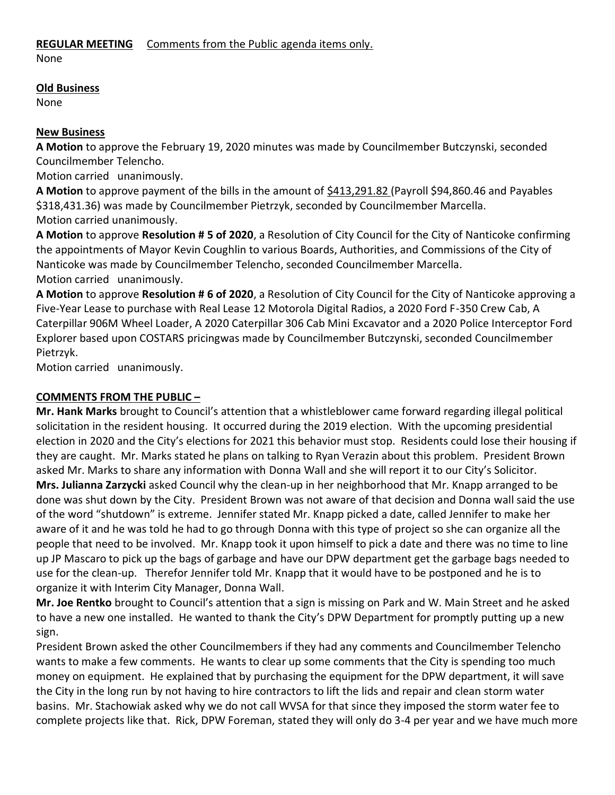## **REGULAR MEETING** Comments from the Public agenda items only.

None

#### **Old Business**

None

# **New Business**

**A Motion** to approve the February 19, 2020 minutes was made by Councilmember Butczynski, seconded Councilmember Telencho.

Motion carried unanimously.

**A Motion** to approve payment of the bills in the amount of \$413,291.82 (Payroll \$94,860.46 and Payables \$318,431.36) was made by Councilmember Pietrzyk, seconded by Councilmember Marcella. Motion carried unanimously.

**A Motion** to approve **Resolution # 5 of 2020**, a Resolution of City Council for the City of Nanticoke confirming the appointments of Mayor Kevin Coughlin to various Boards, Authorities, and Commissions of the City of Nanticoke was made by Councilmember Telencho, seconded Councilmember Marcella. Motion carried unanimously.

**A Motion** to approve **Resolution # 6 of 2020**, a Resolution of City Council for the City of Nanticoke approving a Five-Year Lease to purchase with Real Lease 12 Motorola Digital Radios, a 2020 Ford F-350 Crew Cab, A Caterpillar 906M Wheel Loader, A 2020 Caterpillar 306 Cab Mini Excavator and a 2020 Police Interceptor Ford Explorer based upon COSTARS pricingwas made by Councilmember Butczynski, seconded Councilmember Pietrzyk.

Motion carried unanimously.

# **COMMENTS FROM THE PUBLIC –**

**Mr. Hank Marks** brought to Council's attention that a whistleblower came forward regarding illegal political solicitation in the resident housing. It occurred during the 2019 election. With the upcoming presidential election in 2020 and the City's elections for 2021 this behavior must stop. Residents could lose their housing if they are caught. Mr. Marks stated he plans on talking to Ryan Verazin about this problem. President Brown asked Mr. Marks to share any information with Donna Wall and she will report it to our City's Solicitor. **Mrs. Julianna Zarzycki** asked Council why the clean-up in her neighborhood that Mr. Knapp arranged to be done was shut down by the City. President Brown was not aware of that decision and Donna wall said the use of the word "shutdown" is extreme. Jennifer stated Mr. Knapp picked a date, called Jennifer to make her aware of it and he was told he had to go through Donna with this type of project so she can organize all the people that need to be involved. Mr. Knapp took it upon himself to pick a date and there was no time to line up JP Mascaro to pick up the bags of garbage and have our DPW department get the garbage bags needed to use for the clean-up. Therefor Jennifer told Mr. Knapp that it would have to be postponed and he is to organize it with Interim City Manager, Donna Wall.

**Mr. Joe Rentko** brought to Council's attention that a sign is missing on Park and W. Main Street and he asked to have a new one installed. He wanted to thank the City's DPW Department for promptly putting up a new sign.

President Brown asked the other Councilmembers if they had any comments and Councilmember Telencho wants to make a few comments. He wants to clear up some comments that the City is spending too much money on equipment. He explained that by purchasing the equipment for the DPW department, it will save the City in the long run by not having to hire contractors to lift the lids and repair and clean storm water basins. Mr. Stachowiak asked why we do not call WVSA for that since they imposed the storm water fee to complete projects like that. Rick, DPW Foreman, stated they will only do 3-4 per year and we have much more